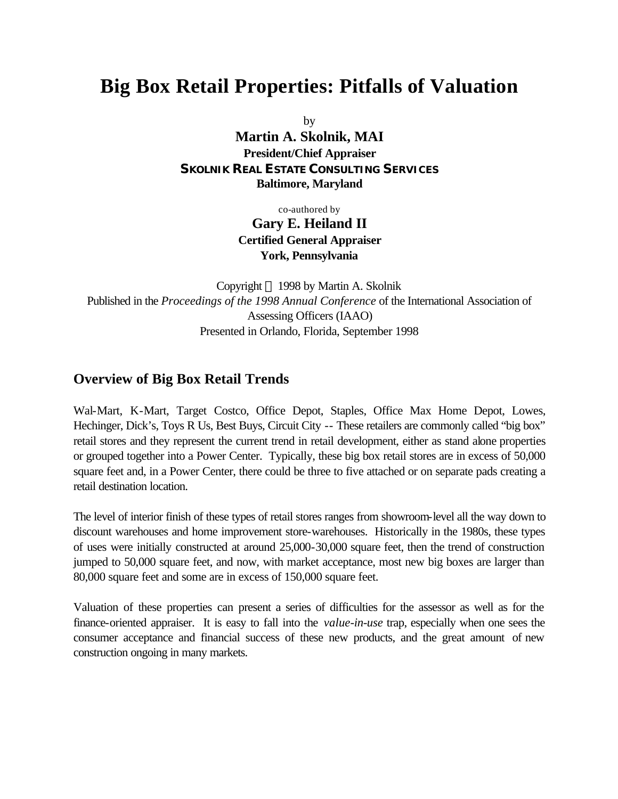# **Big Box Retail Properties: Pitfalls of Valuation**

by

**Martin A. Skolnik, MAI President/Chief Appraiser** *SKOLNIK REAL ESTATE CONSULTING SERVICES* **Baltimore, Maryland**

co-authored by

**Gary E. Heiland II Certified General Appraiser York, Pennsylvania**

Copyright  $\odot$  1998 by Martin A. Skolnik Published in the *Proceedings of the 1998 Annual Conference* of the International Association of Assessing Officers (IAAO) Presented in Orlando, Florida, September 1998

### **Overview of Big Box Retail Trends**

Wal-Mart, K-Mart, Target Costco, Office Depot, Staples, Office Max Home Depot, Lowes, Hechinger, Dick's, Toys R Us, Best Buys, Circuit City -- These retailers are commonly called "big box" retail stores and they represent the current trend in retail development, either as stand alone properties or grouped together into a Power Center. Typically, these big box retail stores are in excess of 50,000 square feet and, in a Power Center, there could be three to five attached or on separate pads creating a retail destination location.

The level of interior finish of these types of retail stores ranges from showroom-level all the way down to discount warehouses and home improvement store-warehouses. Historically in the 1980s, these types of uses were initially constructed at around 25,000-30,000 square feet, then the trend of construction jumped to 50,000 square feet, and now, with market acceptance, most new big boxes are larger than 80,000 square feet and some are in excess of 150,000 square feet.

Valuation of these properties can present a series of difficulties for the assessor as well as for the finance-oriented appraiser. It is easy to fall into the *value-in-use* trap, especially when one sees the consumer acceptance and financial success of these new products, and the great amount of new construction ongoing in many markets.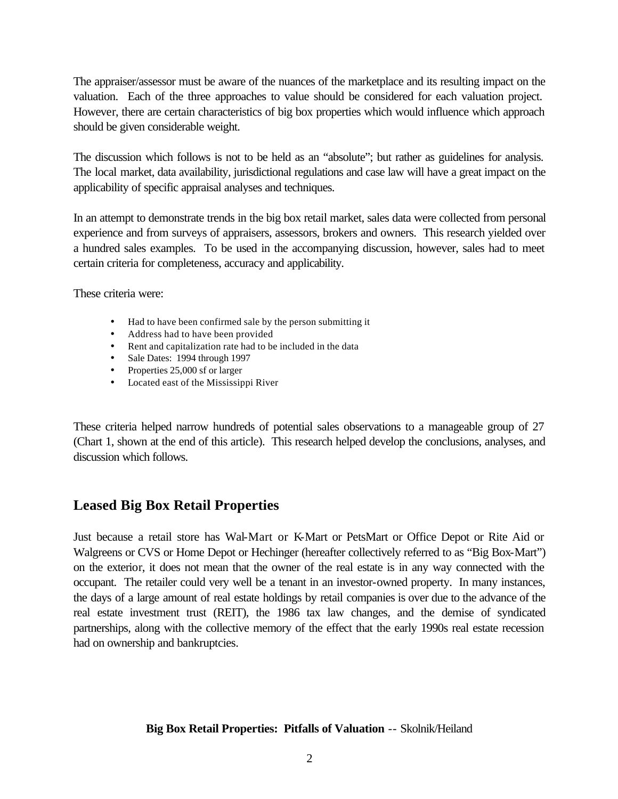The appraiser/assessor must be aware of the nuances of the marketplace and its resulting impact on the valuation. Each of the three approaches to value should be considered for each valuation project. However, there are certain characteristics of big box properties which would influence which approach should be given considerable weight.

The discussion which follows is not to be held as an "absolute"; but rather as guidelines for analysis. The local market, data availability, jurisdictional regulations and case law will have a great impact on the applicability of specific appraisal analyses and techniques.

In an attempt to demonstrate trends in the big box retail market, sales data were collected from personal experience and from surveys of appraisers, assessors, brokers and owners. This research yielded over a hundred sales examples. To be used in the accompanying discussion, however, sales had to meet certain criteria for completeness, accuracy and applicability.

These criteria were:

- Had to have been confirmed sale by the person submitting it
- Address had to have been provided
- Rent and capitalization rate had to be included in the data
- Sale Dates: 1994 through 1997
- Properties 25,000 sf or larger
- Located east of the Mississippi River

These criteria helped narrow hundreds of potential sales observations to a manageable group of 27 (Chart 1, shown at the end of this article). This research helped develop the conclusions, analyses, and discussion which follows.

### **Leased Big Box Retail Properties**

Just because a retail store has Wal-Mart or K-Mart or PetsMart or Office Depot or Rite Aid or Walgreens or CVS or Home Depot or Hechinger (hereafter collectively referred to as "Big Box-Mart") on the exterior, it does not mean that the owner of the real estate is in any way connected with the occupant. The retailer could very well be a tenant in an investor-owned property. In many instances, the days of a large amount of real estate holdings by retail companies is over due to the advance of the real estate investment trust (REIT), the 1986 tax law changes, and the demise of syndicated partnerships, along with the collective memory of the effect that the early 1990s real estate recession had on ownership and bankruptcies.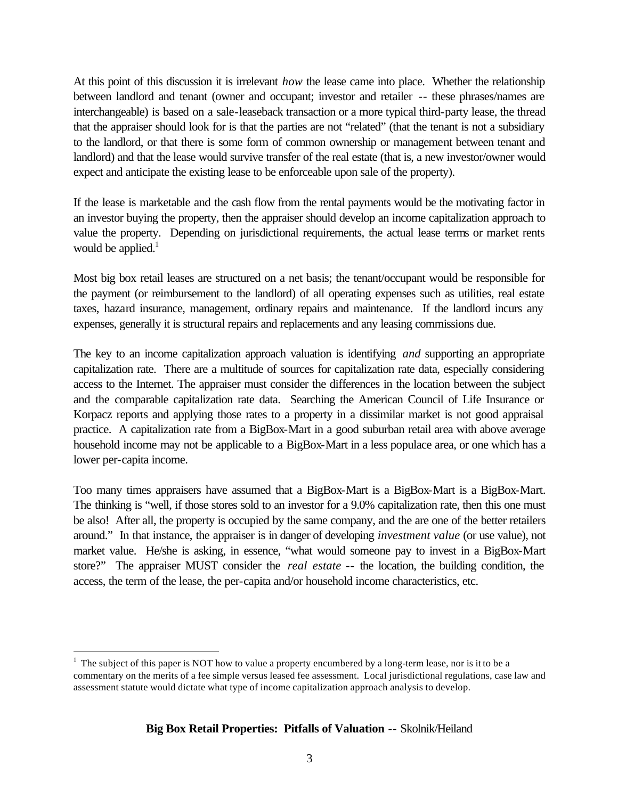At this point of this discussion it is irrelevant *how* the lease came into place. Whether the relationship between landlord and tenant (owner and occupant; investor and retailer -- these phrases/names are interchangeable) is based on a sale-leaseback transaction or a more typical third-party lease, the thread that the appraiser should look for is that the parties are not "related" (that the tenant is not a subsidiary to the landlord, or that there is some form of common ownership or management between tenant and landlord) and that the lease would survive transfer of the real estate (that is, a new investor/owner would expect and anticipate the existing lease to be enforceable upon sale of the property).

If the lease is marketable and the cash flow from the rental payments would be the motivating factor in an investor buying the property, then the appraiser should develop an income capitalization approach to value the property. Depending on jurisdictional requirements, the actual lease terms or market rents would be applied. $<sup>1</sup>$ </sup>

Most big box retail leases are structured on a net basis; the tenant/occupant would be responsible for the payment (or reimbursement to the landlord) of all operating expenses such as utilities, real estate taxes, hazard insurance, management, ordinary repairs and maintenance. If the landlord incurs any expenses, generally it is structural repairs and replacements and any leasing commissions due.

The key to an income capitalization approach valuation is identifying *and* supporting an appropriate capitalization rate. There are a multitude of sources for capitalization rate data, especially considering access to the Internet. The appraiser must consider the differences in the location between the subject and the comparable capitalization rate data. Searching the American Council of Life Insurance or Korpacz reports and applying those rates to a property in a dissimilar market is not good appraisal practice. A capitalization rate from a BigBox-Mart in a good suburban retail area with above average household income may not be applicable to a BigBox-Mart in a less populace area, or one which has a lower per-capita income.

Too many times appraisers have assumed that a BigBox-Mart is a BigBox-Mart is a BigBox-Mart. The thinking is "well, if those stores sold to an investor for a 9.0% capitalization rate, then this one must be also! After all, the property is occupied by the same company, and the are one of the better retailers around." In that instance, the appraiser is in danger of developing *investment value* (or use value), not market value. He/she is asking, in essence, "what would someone pay to invest in a BigBox-Mart store?" The appraiser MUST consider the *real estate* -- the location, the building condition, the access, the term of the lease, the per-capita and/or household income characteristics, etc.

 $\overline{a}$ 

 $1$  The subject of this paper is NOT how to value a property encumbered by a long-term lease, nor is it to be a commentary on the merits of a fee simple versus leased fee assessment. Local jurisdictional regulations, case law and assessment statute would dictate what type of income capitalization approach analysis to develop.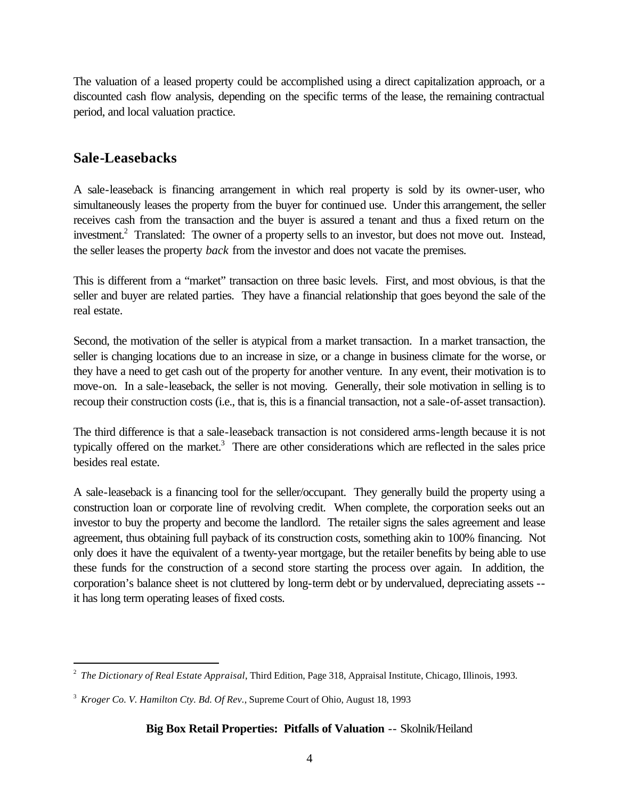The valuation of a leased property could be accomplished using a direct capitalization approach, or a discounted cash flow analysis, depending on the specific terms of the lease, the remaining contractual period, and local valuation practice.

### **Sale-Leasebacks**

A sale-leaseback is financing arrangement in which real property is sold by its owner-user, who simultaneously leases the property from the buyer for continued use. Under this arrangement, the seller receives cash from the transaction and the buyer is assured a tenant and thus a fixed return on the investment.<sup>2</sup> Translated: The owner of a property sells to an investor, but does not move out. Instead, the seller leases the property *back* from the investor and does not vacate the premises.

This is different from a "market" transaction on three basic levels. First, and most obvious, is that the seller and buyer are related parties. They have a financial relationship that goes beyond the sale of the real estate.

Second, the motivation of the seller is atypical from a market transaction. In a market transaction, the seller is changing locations due to an increase in size, or a change in business climate for the worse, or they have a need to get cash out of the property for another venture. In any event, their motivation is to move-on. In a sale-leaseback, the seller is not moving. Generally, their sole motivation in selling is to recoup their construction costs (i.e., that is, this is a financial transaction, not a sale-of-asset transaction).

The third difference is that a sale-leaseback transaction is not considered arms-length because it is not typically offered on the market. $3$  There are other considerations which are reflected in the sales price besides real estate.

A sale-leaseback is a financing tool for the seller/occupant. They generally build the property using a construction loan or corporate line of revolving credit. When complete, the corporation seeks out an investor to buy the property and become the landlord. The retailer signs the sales agreement and lease agreement, thus obtaining full payback of its construction costs, something akin to 100% financing. Not only does it have the equivalent of a twenty-year mortgage, but the retailer benefits by being able to use these funds for the construction of a second store starting the process over again. In addition, the corporation's balance sheet is not cluttered by long-term debt or by undervalued, depreciating assets - it has long term operating leases of fixed costs.

 2 *The Dictionary of Real Estate Appraisal*, Third Edition, Page 318, Appraisal Institute, Chicago, Illinois, 1993.

<sup>3</sup> *Kroger Co. V. Hamilton Cty. Bd. Of Rev.*, Supreme Court of Ohio, August 18, 1993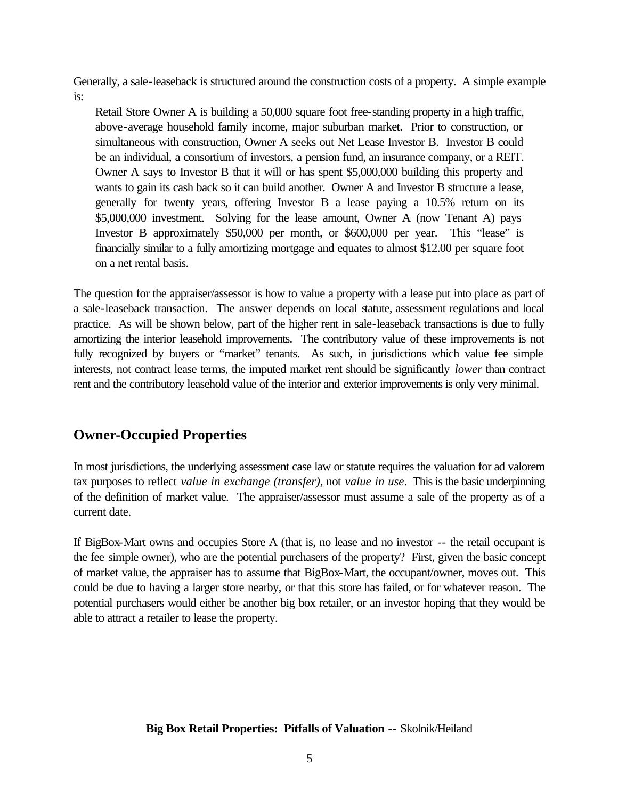Generally, a sale-leaseback is structured around the construction costs of a property. A simple example is:

Retail Store Owner A is building a 50,000 square foot free-standing property in a high traffic, above-average household family income, major suburban market. Prior to construction, or simultaneous with construction, Owner A seeks out Net Lease Investor B. Investor B could be an individual, a consortium of investors, a pension fund, an insurance company, or a REIT. Owner A says to Investor B that it will or has spent \$5,000,000 building this property and wants to gain its cash back so it can build another. Owner A and Investor B structure a lease, generally for twenty years, offering Investor B a lease paying a 10.5% return on its \$5,000,000 investment. Solving for the lease amount, Owner A (now Tenant A) pays Investor B approximately \$50,000 per month, or \$600,000 per year. This "lease" is financially similar to a fully amortizing mortgage and equates to almost \$12.00 per square foot on a net rental basis.

The question for the appraiser/assessor is how to value a property with a lease put into place as part of a sale-leaseback transaction. The answer depends on local statute, assessment regulations and local practice. As will be shown below, part of the higher rent in sale-leaseback transactions is due to fully amortizing the interior leasehold improvements. The contributory value of these improvements is not fully recognized by buyers or "market" tenants. As such, in jurisdictions which value fee simple interests, not contract lease terms, the imputed market rent should be significantly *lower* than contract rent and the contributory leasehold value of the interior and exterior improvements is only very minimal.

## **Owner-Occupied Properties**

In most jurisdictions, the underlying assessment case law or statute requires the valuation for ad valorem tax purposes to reflect *value in exchange (transfer)*, not *value in use*. This is the basic underpinning of the definition of market value. The appraiser/assessor must assume a sale of the property as of a current date.

If BigBox-Mart owns and occupies Store A (that is, no lease and no investor -- the retail occupant is the fee simple owner), who are the potential purchasers of the property? First, given the basic concept of market value, the appraiser has to assume that BigBox-Mart, the occupant/owner, moves out. This could be due to having a larger store nearby, or that this store has failed, or for whatever reason. The potential purchasers would either be another big box retailer, or an investor hoping that they would be able to attract a retailer to lease the property.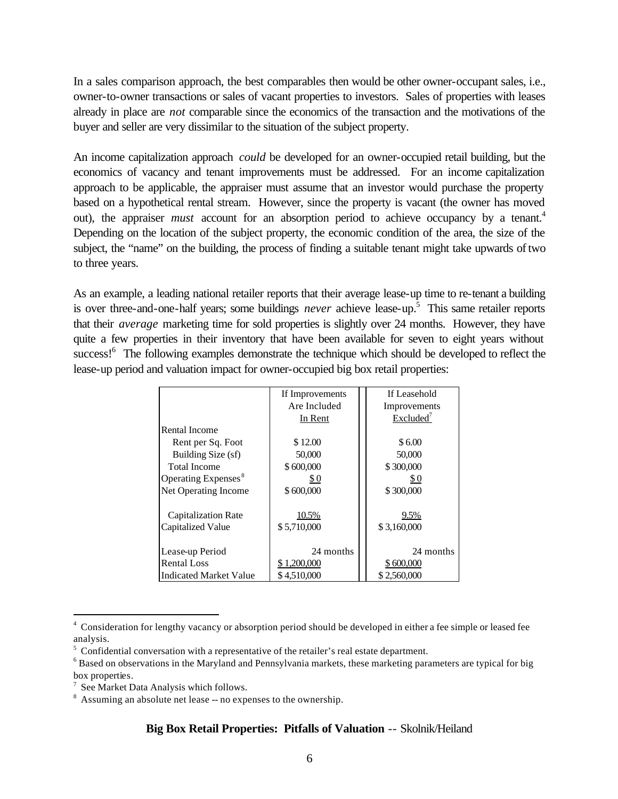In a sales comparison approach, the best comparables then would be other owner-occupant sales, i.e., owner-to-owner transactions or sales of vacant properties to investors. Sales of properties with leases already in place are *not* comparable since the economics of the transaction and the motivations of the buyer and seller are very dissimilar to the situation of the subject property.

An income capitalization approach *could* be developed for an owner-occupied retail building, but the economics of vacancy and tenant improvements must be addressed. For an income capitalization approach to be applicable, the appraiser must assume that an investor would purchase the property based on a hypothetical rental stream. However, since the property is vacant (the owner has moved out), the appraiser *must* account for an absorption period to achieve occupancy by a tenant.<sup>4</sup> Depending on the location of the subject property, the economic condition of the area, the size of the subject, the "name" on the building, the process of finding a suitable tenant might take upwards of two to three years.

As an example, a leading national retailer reports that their average lease-up time to re-tenant a building is over three-and-one-half years; some buildings *never* achieve lease-up.<sup>5</sup> This same retailer reports that their *average* marketing time for sold properties is slightly over 24 months. However, they have quite a few properties in their inventory that have been available for seven to eight years without success!<sup>6</sup> The following examples demonstrate the technique which should be developed to reflect the lease-up period and valuation impact for owner-occupied big box retail properties:

|                                 | If Improvements | If Leasehold          |
|---------------------------------|-----------------|-----------------------|
|                                 | Are Included    | Improvements          |
|                                 | In Rent         | Excluded <sup>7</sup> |
| Rental Income                   |                 |                       |
| Rent per Sq. Foot               | \$12.00         | \$6.00                |
| Building Size (sf)              | 50,000          | 50,000                |
| <b>Total Income</b>             | \$600,000       | \$300,000             |
| Operating Expenses <sup>8</sup> | \$0             | \$0                   |
| Net Operating Income            | \$600,000       | \$300,000             |
| Capitalization Rate             | 10.5%           | 9.5%                  |
| Capitalized Value               | \$5,710,000     | \$3,160,000           |
| Lease-up Period                 | 24 months       | 24 months             |
| <b>Rental Loss</b>              | \$1,200,000     | \$600,000             |
| <b>Indicated Market Value</b>   | \$4.510,000     | \$2,560,000           |

<sup>&</sup>lt;sup>4</sup> Consideration for lengthy vacancy or absorption period should be developed in either a fee simple or leased fee analysis.

 $\overline{a}$ 

 $5$  Confidential conversation with a representative of the retailer's real estate department.

 $6$  Based on observations in the Maryland and Pennsylvania markets, these marketing parameters are typical for big box properties.

<sup>&</sup>lt;sup>7</sup> See Market Data Analysis which follows.

<sup>&</sup>lt;sup>8</sup> Assuming an absolute net lease -- no expenses to the ownership.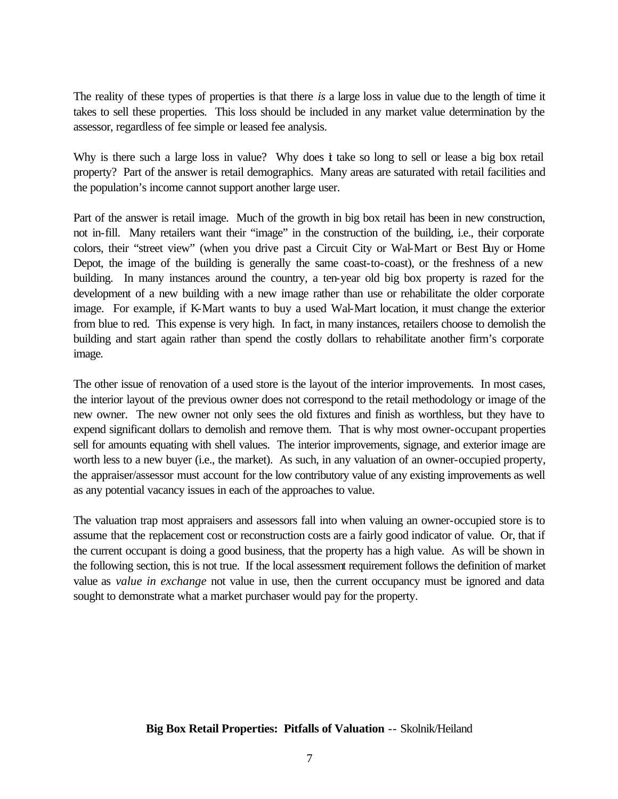The reality of these types of properties is that there *is* a large loss in value due to the length of time it takes to sell these properties. This loss should be included in any market value determination by the assessor, regardless of fee simple or leased fee analysis.

Why is there such a large loss in value? Why does it take so long to sell or lease a big box retail property? Part of the answer is retail demographics. Many areas are saturated with retail facilities and the population's income cannot support another large user.

Part of the answer is retail image. Much of the growth in big box retail has been in new construction, not in-fill. Many retailers want their "image" in the construction of the building, i.e., their corporate colors, their "street view" (when you drive past a Circuit City or Wal-Mart or Best Buy or Home Depot, the image of the building is generally the same coast-to-coast), or the freshness of a new building. In many instances around the country, a ten-year old big box property is razed for the development of a new building with a new image rather than use or rehabilitate the older corporate image. For example, if K-Mart wants to buy a used Wal-Mart location, it must change the exterior from blue to red. This expense is very high. In fact, in many instances, retailers choose to demolish the building and start again rather than spend the costly dollars to rehabilitate another firm's corporate image.

The other issue of renovation of a used store is the layout of the interior improvements. In most cases, the interior layout of the previous owner does not correspond to the retail methodology or image of the new owner. The new owner not only sees the old fixtures and finish as worthless, but they have to expend significant dollars to demolish and remove them. That is why most owner-occupant properties sell for amounts equating with shell values. The interior improvements, signage, and exterior image are worth less to a new buyer (i.e., the market). As such, in any valuation of an owner-occupied property, the appraiser/assessor must account for the low contributory value of any existing improvements as well as any potential vacancy issues in each of the approaches to value.

The valuation trap most appraisers and assessors fall into when valuing an owner-occupied store is to assume that the replacement cost or reconstruction costs are a fairly good indicator of value. Or, that if the current occupant is doing a good business, that the property has a high value. As will be shown in the following section, this is not true. If the local assessment requirement follows the definition of market value as *value in exchange* not value in use, then the current occupancy must be ignored and data sought to demonstrate what a market purchaser would pay for the property.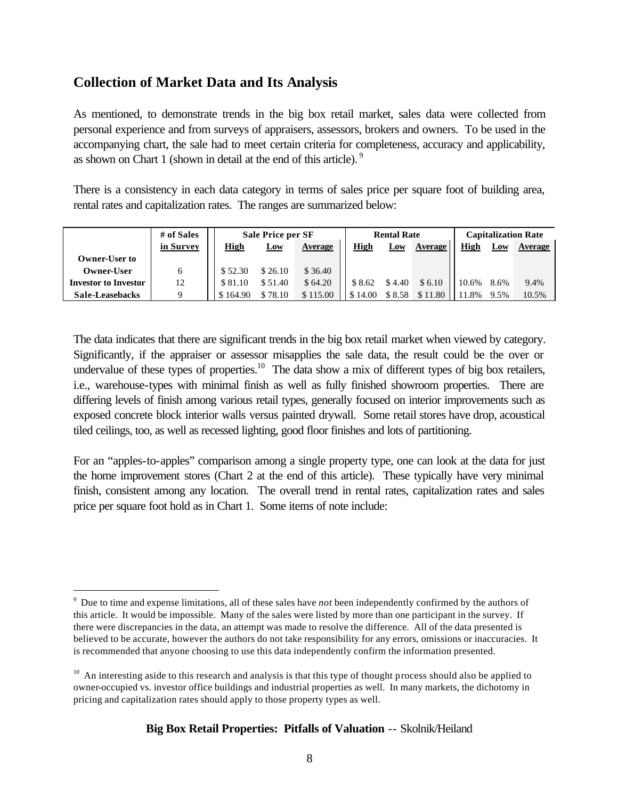## **Collection of Market Data and Its Analysis**

 $\overline{a}$ 

As mentioned, to demonstrate trends in the big box retail market, sales data were collected from personal experience and from surveys of appraisers, assessors, brokers and owners. To be used in the accompanying chart, the sale had to meet certain criteria for completeness, accuracy and applicability, as shown on Chart 1 (shown in detail at the end of this article).<sup>9</sup>

There is a consistency in each data category in terms of sales price per square foot of building area, rental rates and capitalization rates. The ranges are summarized below:

|                             | # of Sales |             | <b>Sale Price per SF</b> |          |             | <b>Rental Rate</b> |         | <b>Capitalization Rate</b> |      |         |  |
|-----------------------------|------------|-------------|--------------------------|----------|-------------|--------------------|---------|----------------------------|------|---------|--|
|                             | in Survey  | <u>High</u> | Low                      | Average  | <u>High</u> | Low                | Average | High                       | Low  | Average |  |
| Owner-User to               |            |             |                          |          |             |                    |         |                            |      |         |  |
| Owner-User                  |            | \$52.30     | \$26.10                  | \$36.40  |             |                    |         |                            |      |         |  |
| <b>Investor to Investor</b> | 12         | \$81.10     | \$51.40                  | \$64.20  | \$8.62      | \$4.40             | \$6.10  | 10.6%                      | 8.6% | 9.4%    |  |
| Sale-Leasebacks             |            | \$164.90    | \$78.10                  | \$115.00 | \$14.00     | \$8.58             | \$11.80 | 1.8%                       | 9.5% | 10.5%   |  |

The data indicates that there are significant trends in the big box retail market when viewed by category. Significantly, if the appraiser or assessor misapplies the sale data, the result could be the over or undervalue of these types of properties.<sup>10</sup> The data show a mix of different types of big box retailers, i.e., warehouse-types with minimal finish as well as fully finished showroom properties. There are differing levels of finish among various retail types, generally focused on interior improvements such as exposed concrete block interior walls versus painted drywall. Some retail stores have drop, acoustical tiled ceilings, too, as well as recessed lighting, good floor finishes and lots of partitioning.

For an "apples-to-apples" comparison among a single property type, one can look at the data for just the home improvement stores (Chart 2 at the end of this article). These typically have very minimal finish, consistent among any location. The overall trend in rental rates, capitalization rates and sales price per square foot hold as in Chart 1. Some items of note include:

<sup>9</sup> Due to time and expense limitations, all of these sales have *not* been independently confirmed by the authors of this article. It would be impossible. Many of the sales were listed by more than one participant in the survey. If there were discrepancies in the data, an attempt was made to resolve the difference. All of the data presented is believed to be accurate, however the authors do not take responsibility for any errors, omissions or inaccuracies. It is recommended that anyone choosing to use this data independently confirm the information presented.

<sup>&</sup>lt;sup>10</sup> An interesting aside to this research and analysis is that this type of thought process should also be applied to owner-occupied vs. investor office buildings and industrial properties as well. In many markets, the dichotomy in pricing and capitalization rates should apply to those property types as well.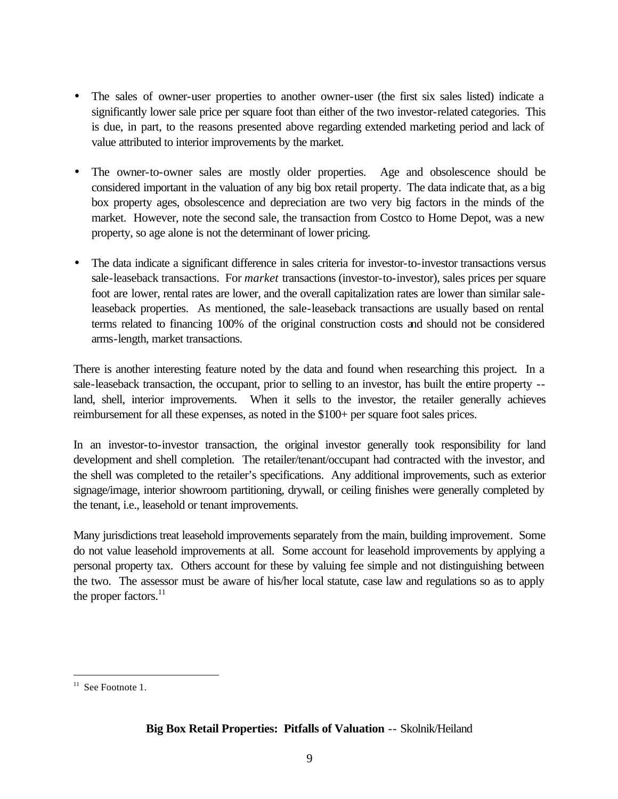- The sales of owner-user properties to another owner-user (the first six sales listed) indicate a significantly lower sale price per square foot than either of the two investor-related categories. This is due, in part, to the reasons presented above regarding extended marketing period and lack of value attributed to interior improvements by the market.
- The owner-to-owner sales are mostly older properties. Age and obsolescence should be considered important in the valuation of any big box retail property. The data indicate that, as a big box property ages, obsolescence and depreciation are two very big factors in the minds of the market. However, note the second sale, the transaction from Costco to Home Depot, was a new property, so age alone is not the determinant of lower pricing.
- The data indicate a significant difference in sales criteria for investor-to-investor transactions versus sale-leaseback transactions. For *market* transactions (investor-to-investor), sales prices per square foot are lower, rental rates are lower, and the overall capitalization rates are lower than similar saleleaseback properties. As mentioned, the sale-leaseback transactions are usually based on rental terms related to financing 100% of the original construction costs and should not be considered arms-length, market transactions.

There is another interesting feature noted by the data and found when researching this project. In a sale-leaseback transaction, the occupant, prior to selling to an investor, has built the entire property - land, shell, interior improvements. When it sells to the investor, the retailer generally achieves reimbursement for all these expenses, as noted in the \$100+ per square foot sales prices.

In an investor-to-investor transaction, the original investor generally took responsibility for land development and shell completion. The retailer/tenant/occupant had contracted with the investor, and the shell was completed to the retailer's specifications. Any additional improvements, such as exterior signage/image, interior showroom partitioning, drywall, or ceiling finishes were generally completed by the tenant, i.e., leasehold or tenant improvements.

Many jurisdictions treat leasehold improvements separately from the main, building improvement. Some do not value leasehold improvements at all. Some account for leasehold improvements by applying a personal property tax. Others account for these by valuing fee simple and not distinguishing between the two. The assessor must be aware of his/her local statute, case law and regulations so as to apply the proper factors. $^{11}$ 

 $\overline{a}$ 

 $11$  See Footnote 1.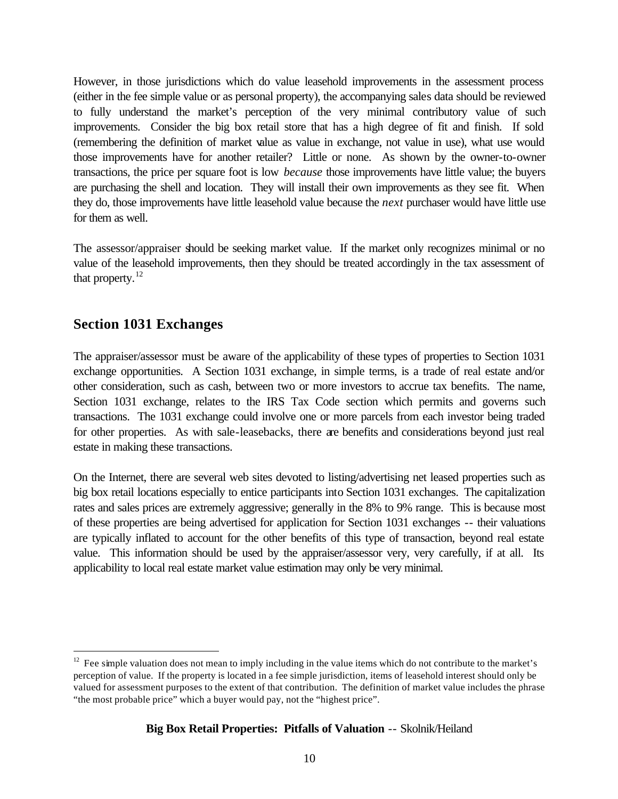However, in those jurisdictions which do value leasehold improvements in the assessment process (either in the fee simple value or as personal property), the accompanying sales data should be reviewed to fully understand the market's perception of the very minimal contributory value of such improvements. Consider the big box retail store that has a high degree of fit and finish. If sold (remembering the definition of market value as value in exchange, not value in use), what use would those improvements have for another retailer? Little or none. As shown by the owner-to-owner transactions, the price per square foot is low *because* those improvements have little value; the buyers are purchasing the shell and location. They will install their own improvements as they see fit. When they do, those improvements have little leasehold value because the *next* purchaser would have little use for them as well.

The assessor/appraiser should be seeking market value. If the market only recognizes minimal or no value of the leasehold improvements, then they should be treated accordingly in the tax assessment of that property. $^{12}$ 

### **Section 1031 Exchanges**

 $\overline{a}$ 

The appraiser/assessor must be aware of the applicability of these types of properties to Section 1031 exchange opportunities. A Section 1031 exchange, in simple terms, is a trade of real estate and/or other consideration, such as cash, between two or more investors to accrue tax benefits. The name, Section 1031 exchange, relates to the IRS Tax Code section which permits and governs such transactions. The 1031 exchange could involve one or more parcels from each investor being traded for other properties. As with sale-leasebacks, there are benefits and considerations beyond just real estate in making these transactions.

On the Internet, there are several web sites devoted to listing/advertising net leased properties such as big box retail locations especially to entice participants into Section 1031 exchanges. The capitalization rates and sales prices are extremely aggressive; generally in the 8% to 9% range. This is because most of these properties are being advertised for application for Section 1031 exchanges -- their valuations are typically inflated to account for the other benefits of this type of transaction, beyond real estate value. This information should be used by the appraiser/assessor very, very carefully, if at all. Its applicability to local real estate market value estimation may only be very minimal.

 $12$  Fee simple valuation does not mean to imply including in the value items which do not contribute to the market's perception of value. If the property is located in a fee simple jurisdiction, items of leasehold interest should only be valued for assessment purposes to the extent of that contribution. The definition of market value includes the phrase "the most probable price" which a buyer would pay, not the "highest price".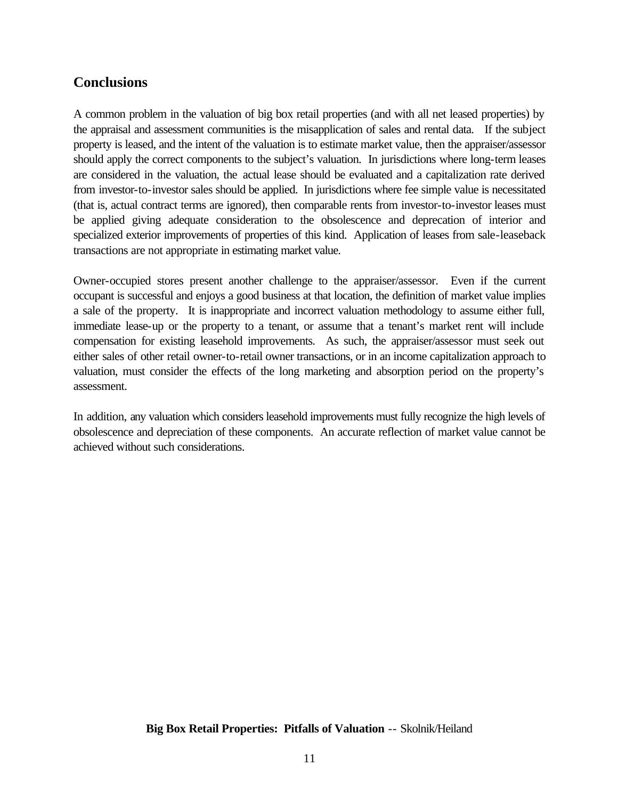## **Conclusions**

A common problem in the valuation of big box retail properties (and with all net leased properties) by the appraisal and assessment communities is the misapplication of sales and rental data. If the subject property is leased, and the intent of the valuation is to estimate market value, then the appraiser/assessor should apply the correct components to the subject's valuation. In jurisdictions where long-term leases are considered in the valuation, the actual lease should be evaluated and a capitalization rate derived from investor-to-investor sales should be applied. In jurisdictions where fee simple value is necessitated (that is, actual contract terms are ignored), then comparable rents from investor-to-investor leases must be applied giving adequate consideration to the obsolescence and deprecation of interior and specialized exterior improvements of properties of this kind. Application of leases from sale-leaseback transactions are not appropriate in estimating market value.

Owner-occupied stores present another challenge to the appraiser/assessor. Even if the current occupant is successful and enjoys a good business at that location, the definition of market value implies a sale of the property. It is inappropriate and incorrect valuation methodology to assume either full, immediate lease-up or the property to a tenant, or assume that a tenant's market rent will include compensation for existing leasehold improvements. As such, the appraiser/assessor must seek out either sales of other retail owner-to-retail owner transactions, or in an income capitalization approach to valuation, must consider the effects of the long marketing and absorption period on the property's assessment.

In addition, any valuation which considers leasehold improvements must fully recognize the high levels of obsolescence and depreciation of these components. An accurate reflection of market value cannot be achieved without such considerations.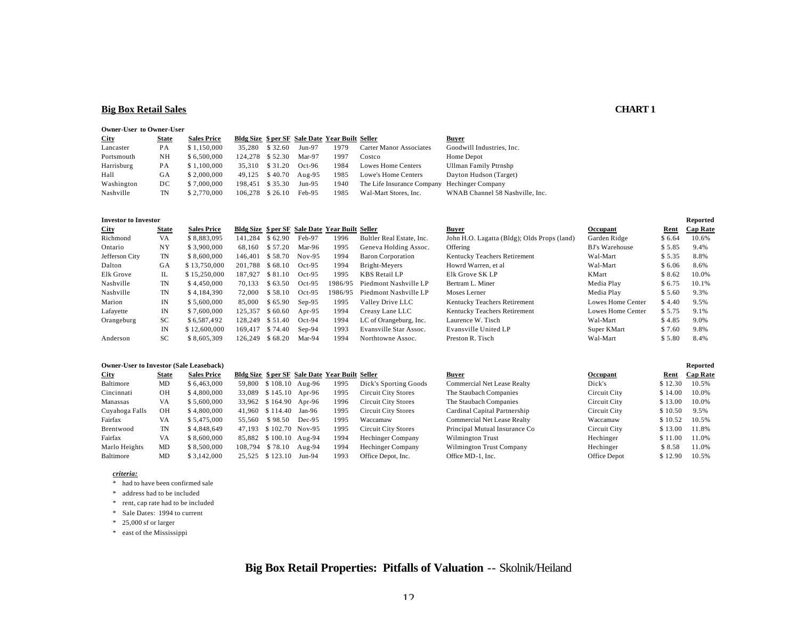### **Big Box Retail Sales CHART 1**

#### **Owner-User to Owner-User**

| <b>City</b> | <b>State</b> | <b>Sales Price</b> |                 |         |          | Bldg Size \$ per SF Sale Date Year Built Seller |                                | Buyer                           |
|-------------|--------------|--------------------|-----------------|---------|----------|-------------------------------------------------|--------------------------------|---------------------------------|
| Lancaster   | PА           | \$1,150,000        | 35,280          | \$32.60 | $Jun-97$ | 1979                                            | <b>Carter Manor Associates</b> | Goodwill Industries, Inc.       |
| Portsmouth  | NΗ           | \$6,500,000        | 124,278 \$52.30 |         | Mar-97   | 1997                                            | Costco                         | Home Depot                      |
| Harrisburg  | PА           | \$1,100,000        | 35.310          | \$31.20 | $Oct-96$ | 1984                                            | Lowes Home Centers             | Ullman Family Ptrnshp           |
| Hall        | GА           | \$2,000,000        | 49.125 \$40.70  |         | Aug-95   | 1985                                            | Lowe's Home Centers            | Dayton Hudson (Target)          |
| Washington  | DС           | \$7,000,000        | 198.451 \$35.30 |         | Jun-95   | 1940                                            | The Life Insurance Company     | <b>Hechinger Company</b>        |
| Nashville   | TN           | \$2,770,000        | 106.278 \$26.10 |         | Feb-95   | 1985                                            | Wal-Mart Stores, Inc.          | WNAB Channel 58 Nashville. Inc. |

#### **Investor to Investor Reported**

| <b>City</b>    | <b>State</b> | <b>Sales Price</b> |                 |         |          | Bldg Size \$ per SF Sale Date Year Built Seller |                           | <b>Buver</b>                                | Occupant              | Rent   | <b>Cap Rate</b> |
|----------------|--------------|--------------------|-----------------|---------|----------|-------------------------------------------------|---------------------------|---------------------------------------------|-----------------------|--------|-----------------|
| Richmond       | VA           | \$8.883.095        | 141.284         | \$62.90 | Feb-97   | 1996                                            | Bultler Real Estate, Inc. | John H.O. Lagatta (Bldg); Olds Props (land) | Garden Ridge          | \$6.64 | 10.6%           |
| Ontario        | NY           | \$3,900,000        | 68.160          | \$57.20 | Mar-96   | 1995                                            | Geneva Holding Assoc.     | Offering                                    | <b>BJ's Warehouse</b> | \$5.85 | 9.4%            |
| Jefferson City | TN           | \$8,600,000        | 146,401 \$58.70 |         | $Nov-95$ | 1994                                            | <b>Baron Corporation</b>  | Kentucky Teachers Retirement                | Wal-Mart              | \$5.35 | 8.8%            |
| Dalton         | GA           | \$13,750,000       | 201.788 \$68.10 |         | $Oct-95$ | 1994                                            | Bright-Meyers             | Howrd Warren, et al                         | Wal-Mart              | \$6.06 | 8.6%            |
| Elk Grove      | IL           | \$15,250,000       | 187.927         | \$81.10 | $Oct-95$ | 1995                                            | <b>KBS</b> Retail LP      | Elk Grove SK LP                             | KMart                 | \$8.62 | 10.0%           |
| Nashville      | TN           | \$4,450,000        | 70.133          | \$63.50 | $Oct-95$ | 1986/95                                         | Piedmont Nashville LP     | Bertram L. Miner                            | Media Play            | \$6.75 | 10.1%           |
| Nashville      | TN           | \$4,184,390        | 72,000          | \$58.10 | $Oct-95$ | 1986/95                                         | Piedmont Nashville LP     | Moses Lerner                                | Media Play            | \$5.60 | 9.3%            |
| Marion         | IN           | \$5,600,000        | 85,000          | \$65.90 | $Sep-95$ | 1995                                            | Valley Drive LLC          | Kentucky Teachers Retirement                | Lowes Home Center     | \$4.40 | 9.5%            |
| Lafayette      | IN           | \$7,600,000        | 125.357         | \$60.60 | Apr-95   | 1994                                            | Creasy Lane LLC           | Kentucky Teachers Retirement                | Lowes Home Center     | \$5.75 | 9.1%            |
| Orangeburg     | <b>SC</b>    | \$6,587,492        | 128,249         | \$51.40 | $Oct-94$ | 1994                                            | LC of Orangeburg, Inc.    | Laurence W. Tisch                           | Wal-Mart              | \$4.85 | 9.0%            |
|                | IN           | \$12,600,000       | 169.417 \$74.40 |         | $Sep-94$ | 1993                                            | Evansville Star Assoc.    | Evansville United LP                        | Super KMart           | \$7.60 | 9.8%            |
| Anderson       | <b>SC</b>    | \$8,605,309        | 126.249         | \$68.20 | Mar-94   | 1994                                            | Northtowne Assoc.         | Preston R. Tisch                            | Wal-Mart              | \$5.80 | 8.4%            |

#### **Owner-User to Investor (Sale Leaseback) Reported**

| City           | State | <b>Sales Price</b> |         |                  |                        | Bldg Size \$ per SF Sale Date Year Built Seller |                       | Buyer                              | Occupant            | Rent    | <b>Cap Rate</b> |
|----------------|-------|--------------------|---------|------------------|------------------------|-------------------------------------------------|-----------------------|------------------------------------|---------------------|---------|-----------------|
| Baltimore      | MD    | \$6,463,000        | 59.800  |                  | $$108.10$ Aug-96       | 1995                                            | Dick's Sporting Goods | <b>Commercial Net Lease Realty</b> | Dick's              | \$12.30 | 10.5%           |
| Cincinnati     | OН    | \$4,800,000        | 33,089  | $$145.10$ Apr-96 |                        | 1995                                            | Circuit City Stores   | The Staubach Companies             | Circuit City        | \$14.00 | 10.0%           |
| Manassas       | VA    | \$5.600.000        |         | 33,962 \$164.90  | Apr-96                 | 1996                                            | Circuit City Stores   | The Staubach Companies             | Circuit City        | \$13.00 | 10.0%           |
| Cuyahoga Falls | ΟH    | \$4,800,000        |         | 41,960 \$114.40  | Jan-96                 | 1995                                            | Circuit City Stores   | Cardinal Capital Partnership       | Circuit City        | \$10.50 | 9.5%            |
| Fairfax        | VA    | \$5.475.000        | 55.560  | \$98.50          | $Dec-95$               | 1995                                            | Waccamaw              | <b>Commercial Net Lease Realty</b> | Waccamaw            | \$10.52 | 10.5%           |
| Brentwood      | TN    | \$4.848,649        | 47.193  | \$102.70 Nov-95  |                        | 1995                                            | Circuit City Stores   | Principal Mutual Insurance Co      | Circuit City        | \$13.00 | 11.8%           |
| Fairfax        | VA    | \$8.600.000        |         |                  | 85.882 \$100.10 Aug-94 | 1994                                            | Hechinger Company     | Wilmington Trust                   | Hechinger           | \$11.00 | 11.0%           |
| Marlo Heights  | MD    | \$8,500,000        | 108.794 | \$78.10          | Aug-94                 | 1994                                            | Hechinger Company     | Wilmington Trust Company           | Hechinger           | \$ 8.58 | 11.0%           |
| Baltimore      | MD    | \$3,142,000        |         | 25.525 \$123.10  | Jun-94                 | 1993                                            | Office Depot, Inc.    | Office MD-1, Inc.                  | <b>Office Depot</b> | \$12.90 | 10.5%           |

#### *criteria:*

\* had to have been confirmed sale

\* address had to be included

\* rent, cap rate had to be included

- \* Sale Dates: 1994 to current
- \* 25,000 sf or larger

\* east of the Mississippi